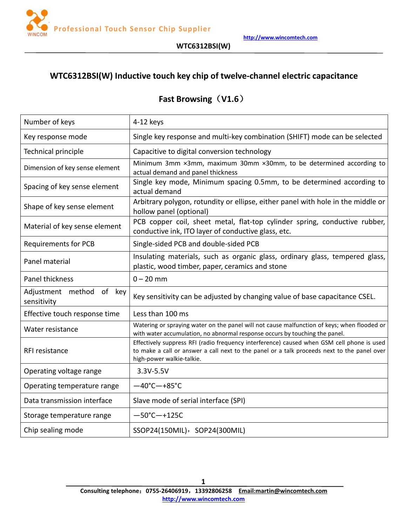

# **WTC6312BSI(W) Inductive touch key chip oftwelve-channel electric capacitance**

# **Fast Browsing**(**V1.6**)

| Number of keys                          | 4-12 keys                                                                                                                                                                                                              |
|-----------------------------------------|------------------------------------------------------------------------------------------------------------------------------------------------------------------------------------------------------------------------|
| Key response mode                       | Single key response and multi-key combination (SHIFT) mode can be selected                                                                                                                                             |
| Technical principle                     | Capacitive to digital conversion technology                                                                                                                                                                            |
| Dimension of key sense element          | Minimum 3mm ×3mm, maximum 30mm ×30mm, to be determined according to<br>actual demand and panel thickness                                                                                                               |
| Spacing of key sense element            | Single key mode, Minimum spacing 0.5mm, to be determined according to<br>actual demand                                                                                                                                 |
| Shape of key sense element              | Arbitrary polygon, rotundity or ellipse, either panel with hole in the middle or<br>hollow panel (optional)                                                                                                            |
| Material of key sense element           | PCB copper coil, sheet metal, flat-top cylinder spring, conductive rubber,<br>conductive ink, ITO layer of conductive glass, etc.                                                                                      |
| <b>Requirements for PCB</b>             | Single-sided PCB and double-sided PCB                                                                                                                                                                                  |
| Panel material                          | Insulating materials, such as organic glass, ordinary glass, tempered glass,<br>plastic, wood timber, paper, ceramics and stone                                                                                        |
| Panel thickness                         | $0 - 20$ mm                                                                                                                                                                                                            |
| Adjustment method of key<br>sensitivity | Key sensitivity can be adjusted by changing value of base capacitance CSEL.                                                                                                                                            |
| Effective touch response time           | Less than 100 ms                                                                                                                                                                                                       |
| Water resistance                        | Watering or spraying water on the panel will not cause malfunction of keys; when flooded or<br>with water accumulation, no abnormal response occurs by touching the panel.                                             |
| RFI resistance                          | Effectively suppress RFI (radio frequency interference) caused when GSM cell phone is used<br>to make a call or answer a call next to the panel or a talk proceeds next to the panel over<br>high-power walkie-talkie. |
| Operating voltage range                 | 3.3V-5.5V                                                                                                                                                                                                              |
| Operating temperature range             | $-40^{\circ}$ C $-+85^{\circ}$ C                                                                                                                                                                                       |
| Data transmission interface             | Slave mode of serial interface (SPI)                                                                                                                                                                                   |
| Storage temperature range               | $-50^{\circ}$ C $-+125C$                                                                                                                                                                                               |
| Chip sealing mode                       | SSOP24(150MIL), SOP24(300MIL)                                                                                                                                                                                          |
|                                         |                                                                                                                                                                                                                        |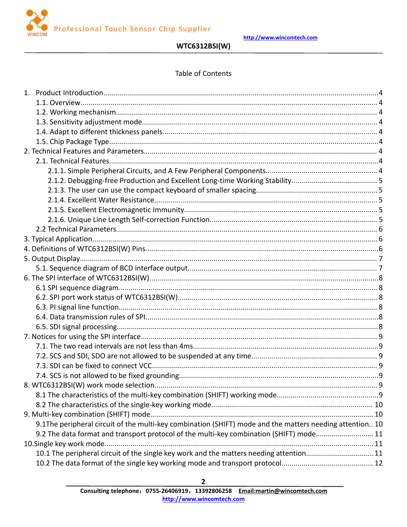

# **WTC6312BSI(W)**

### **Table of Contents**

|                                                                                                          | 9 |
|----------------------------------------------------------------------------------------------------------|---|
|                                                                                                          |   |
|                                                                                                          |   |
|                                                                                                          |   |
| 9.1The peripheral circuit of the multi-key combination (SHIFT) mode and the matters needing attention 10 |   |
| 9.2 The data format and transport protocol of the multi-key combination (SHIFT) mode11                   |   |
|                                                                                                          |   |
| 10.1 The peripheral circuit of the single key work and the matters needing attention11                   |   |
|                                                                                                          |   |

 $\mathbf{2}$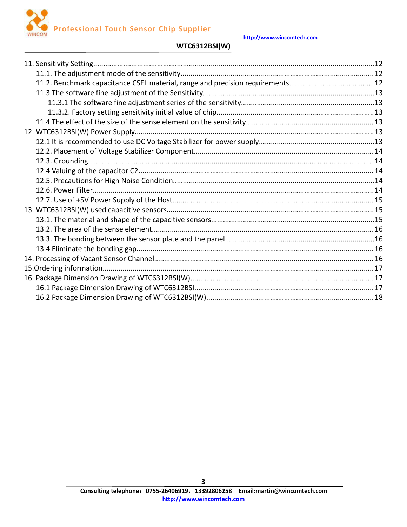



### **WTC6312BSI(W)**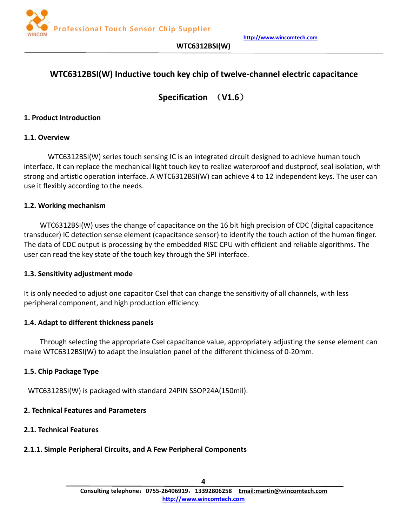

# <span id="page-3-1"></span><span id="page-3-0"></span>**WTC6312BSI(W) Inductive touch key chip oftwelve-channel electric capacitance**

**Specification** (**V1.6**)

#### **1. Product Introduction**

#### **1.1. Overview**

WTC6312BSI(W) series touch sensing IC is an integrated circuit designed to achieve human touch interface. It can replace the mechanical light touch key to realize waterproof and dustproof, seal isolation, with strong and artistic operation interface. A WTC6312BSI(W) can achieve 4 to 12 independent keys. The user can use it flexibly according to the needs.

#### **1.2. Working mechanism**

WTC6312BSI(W) uses the change of capacitance on the 16 bit high precision of CDC (digital capacitance transducer) IC detection sense element (capacitance sensor) to identify the touch action of the human finger. The data of CDC output is processing by the embedded RISC CPU with efficient and reliable algorithms. The user can read the key state of the touch key through the SPI interface.

#### **1.3. Sensitivity adjustment mode**

It is only needed to adjust one capacitor Csel that can change the sensitivity of all channels, with less peripheral component, and high production efficiency.

#### **1.4. Adapt to different thickness panels**

Through selecting the appropriate Csel capacitance value, appropriately adjusting the sense element can make WTC6312BSI(W) to adapt the insulation panel of the different thickness of 0-20mm.

#### **1.5. Chip Package Type**

WTC6312BSI(W) is packaged with standard 24PIN SSOP24A(150mil).

#### **2. Technical Features and Parameters**

#### **2.1. Technical Features**

#### **2.1.1. Simple Peripheral Circuits, and A Few Peripheral Components**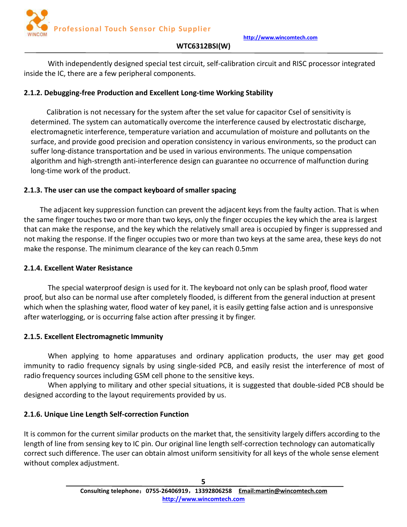<span id="page-4-0"></span>With independently designed special test circuit, self-calibration circuit and RISC processor integrated inside the IC, there are a few peripheral components.

# **2.1.2. Debugging-free Production and Excellent Long-time Working Stability**

Calibration is not necessary for the system after the set value for capacitor Csel of sensitivity is determined. The system can automatically overcome the interference caused by electrostatic discharge, electromagnetic interference, temperature variation and accumulation of moisture and pollutants on the surface, and provide good precision and operation consistency in various environments, so the product can suffer long-distance transportation and be used in various environments. The unique compensation algorithm and high-strength anti-interference design can guarantee no occurrence of malfunction during long-time work of the product.

# **2.1.3. The user can use the compact keyboard of smaller spacing**

The adjacent key suppression function can prevent the adjacent keys from the faulty action. That is when the same finger touches two or more than two keys, only the finger occupies the key which the area is largest that can make the response, and the key which the relatively small area is occupied by finger is suppressed and not making the response. If the finger occupies two or more than two keys at the same area, these keys do not make the response. The minimum clearance of the key can reach 0.5mm

# **2.1.4. Excellent Water Resistance**

The special waterproof design is used for it. The keyboard not only can be splash proof, flood water proof, but also can be normal use after completely flooded, is different from the general induction at present which when the splashing water, flood water of key panel, it is easily getting false action and is unresponsive after waterlogging, or is occurring false action after pressing it by finger.

# **2.1.5. Excellent Electromagnetic Immunity**

When applying to home apparatuses and ordinary application products, the user may get good immunity to radio frequency signals by using single-sided PCB, and easily resist the interference of most of radio frequency sources including GSM cell phone to the sensitive keys.

When applying to military and other special situations, it is suggested that double-sided PCB should be designed according to the layout requirements provided by us.

# **2.1.6. Unique Line Length Self-correction Function**

It is common for the current similar products on the market that, the sensitivity largely differs according to the length of line from sensing key to IC pin. Our original line length self-correction technology can automatically correct such difference. The user can obtain almost uniform sensitivity for all keys of the whole sense element without complex adjustment.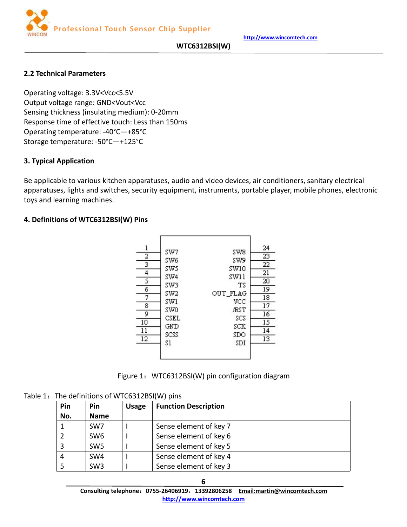### **WTC6312BSI(W)**

### <span id="page-5-0"></span>**2.2 Technical Parameters**

Operating voltage: 3.3V<Vcc<5.5V Output voltage range: GND<Vout<Vcc Sensing thickness (insulating medium): 0-20mm Response time of effective touch: Less than 150ms Operating temperature: -40°C—+85°C Storage temperature: -50°C—+125°C

#### **3. Typical Application**

Be applicable to various kitchen apparatuses, audio and video devices, air conditioners, sanitary electrical apparatuses, lights and switches, security equipment, instruments, portable player, mobile phones, electronic toys and learning machines.

### **4. Definitions of WTC6312BSI(W) Pins**



Figure 1: WTC6312BSI(W) pin configuration diagram

Table 1: The definitions of WTC6312BSI(W) pins

| Pin | Pin             | <b>Usage</b> | <b>Function Description</b> |
|-----|-----------------|--------------|-----------------------------|
| No. | <b>Name</b>     |              |                             |
|     | SW <sub>7</sub> |              | Sense element of key 7      |
|     | SW <sub>6</sub> |              | Sense element of key 6      |
| 3   | SW <sub>5</sub> |              | Sense element of key 5      |
| 4   | SW <sub>4</sub> |              | Sense element of key 4      |
|     | SW <sub>3</sub> |              | Sense element of key 3      |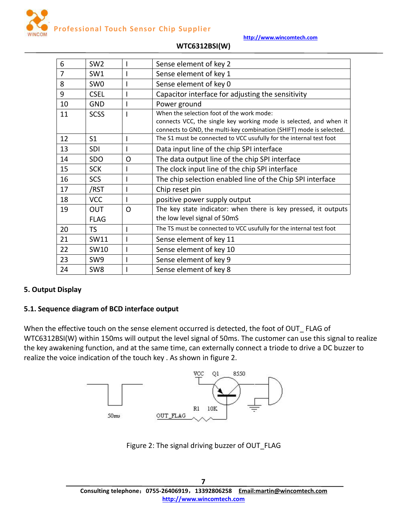

<span id="page-6-0"></span>

| 6              | SW <sub>2</sub>           |          | Sense element of key 2                                                                                                                                                                  |  |  |
|----------------|---------------------------|----------|-----------------------------------------------------------------------------------------------------------------------------------------------------------------------------------------|--|--|
| $\overline{7}$ | SW1                       |          | Sense element of key 1                                                                                                                                                                  |  |  |
| 8              | SW <sub>0</sub>           |          | Sense element of key 0                                                                                                                                                                  |  |  |
| 9              | <b>CSEL</b>               |          | Capacitor interface for adjusting the sensitivity                                                                                                                                       |  |  |
| 10             | <b>GND</b>                |          | Power ground                                                                                                                                                                            |  |  |
| 11             | <b>SCSS</b>               |          | When the selection foot of the work mode:<br>connects VCC, the single key working mode is selected, and when it<br>connects to GND, the multi-key combination (SHIFT) mode is selected. |  |  |
| 12             | S <sub>1</sub>            |          | The S1 must be connected to VCC usufully for the internal test foot                                                                                                                     |  |  |
| 13             | <b>SDI</b>                |          | Data input line of the chip SPI interface                                                                                                                                               |  |  |
| 14             | SDO                       | $\Omega$ | The data output line of the chip SPI interface                                                                                                                                          |  |  |
| 15             | <b>SCK</b>                |          | The clock input line of the chip SPI interface                                                                                                                                          |  |  |
| 16             | <b>SCS</b>                |          | The chip selection enabled line of the Chip SPI interface                                                                                                                               |  |  |
| 17             | /RST                      |          | Chip reset pin                                                                                                                                                                          |  |  |
| 18             | <b>VCC</b>                |          | positive power supply output                                                                                                                                                            |  |  |
| 19             | <b>OUT</b><br><b>FLAG</b> | $\Omega$ | The key state indicator: when there is key pressed, it outputs<br>the low level signal of 50mS                                                                                          |  |  |
| 20             | TS                        |          | The TS must be connected to VCC usufully for the internal test foot                                                                                                                     |  |  |
| 21             | SW11                      |          | Sense element of key 11                                                                                                                                                                 |  |  |
| 22             | SW10                      |          | Sense element of key 10                                                                                                                                                                 |  |  |
| 23             | SW9                       |          | Sense element of key 9                                                                                                                                                                  |  |  |
| 24             | SW <sub>8</sub>           |          | Sense element of key 8                                                                                                                                                                  |  |  |

# **WTC6312BSI(W)**

# **5. Output Display**

# **5.1. Sequence diagram of BCD interface output**

When the effective touch on the sense element occurred is detected, the foot of OUT\_ FLAG of WTC6312BSI(W) within 150ms will output the level signal of 50ms. The customer can use this signal to realize the key awakening function, and at the same time, can externally connect a triode to drive a DC buzzer to realize the voice indication of the touch key . As shown in figure 2.



Figure 2: The signal driving buzzer of OUT\_FLAG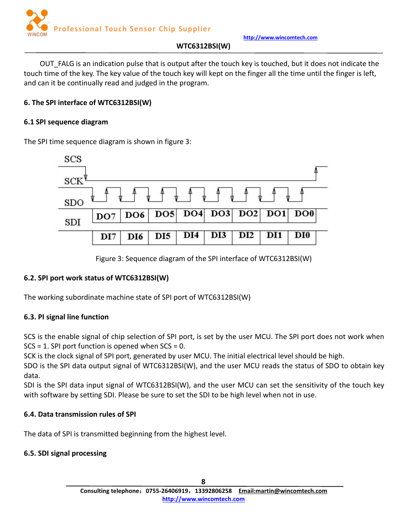

# **WTC6312BSI(W)**

<span id="page-7-0"></span>OUT\_FALG is an indication pulse that is output after the touch key is touched, but it does not indicate the touch time of the key. The key value of the touch key will kept on the finger all the time until the finger is left, and can it be continually read and judged in the program.

# **6. The SPI interface of WTC6312BSI(W)**

### **6.1 SPI sequence diagram**

The SPI time sequence diagram is shown in figure 3:



Figure 3: Sequence diagram of the SPI interface of WTC6312BSI(W)

# **6.2. SPI port work status of WTC6312BSI(W)**

The working subordinate machine state of SPI port of WTC6312BSI(W)

# **6.3. PI signal line function**

SCS is the enable signal of chip selection of SPI port, is set by the user MCU. The SPI port does not work when  $SCS = 1$ . SPI port function is opened when  $SCS = 0$ .

SCK is the clock signal of SPI port, generated by user MCU. The initial electrical level should be high.

SDO is the SPI data output signal of WTC6312BSI(W), and the user MCU reads the status of SDO to obtain key data.

SDI is the SPI data input signal of WTC6312BSI(W), and the user MCU can set the sensitivity of the touch key with software by setting SDI. Please be sure to set the SDI to be high level when not in use.

# **6.4. Data transmission rules of SPI**

The data of SPI is transmitted beginning from the highest level.

# **6.5. SDI signal processing**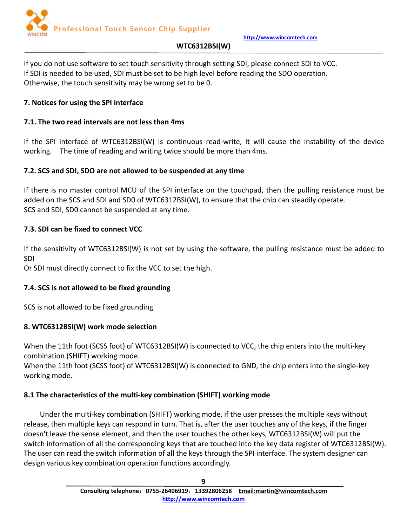

# **WTC6312BSI(W)**

<span id="page-8-0"></span>If you do not use software to set touch sensitivity through setting SDI, please connect SDI to VCC. If SDI is needed to be used, SDI must be set to be high level before reading the SDO operation. Otherwise, the touch sensitivity may be wrong set to be 0.

# **7. Notices for using the SPI interface**

# **7.1. The two read intervals are not less than 4ms**

If the SPI interface of WTC6312BSI(W) is continuous read-write, it will cause the instability of the device working. The time of reading and writing twice should be more than 4ms.

# **7.2. SCS and SDI, SDO are not allowed to be suspended at any time**

If there is no master control MCU of the SPI interface on the touchpad, then the pulling resistance must be added on the SCS and SDI and SD0 of WTC6312BSI(W), to ensure that the chip can steadily operate. SCS and SDI, SD0 cannot be suspended at any time.

# **7.3. SDI can be fixed to connect VCC**

If the sensitivity of WTC6312BSI(W) is not set by using the software, the pulling resistance must be added to SDI

Or SDI must directly connect to fix the VCC to set the high.

# **7.4. SCS is not allowed to be fixed grounding**

SCS is not allowed to be fixed grounding

# **8. WTC6312BSI(W) work mode selection**

When the 11th foot (SCSS foot) of WTC6312BSI(W) is connected to VCC, the chip enters into the multi-key combination (SHIFT) working mode.

When the 11th foot (SCSS foot) of WTC6312BSI(W) is connected to GND, the chip enters into the single-key working mode.

# **8.1 The characteristics of the multi-key combination (SHIFT) working mode**

Under the multi-key combination (SHIFT) working mode, if the user presses the multiple keyswithout release, then multiple keyscan respond in turn. That is, after the user touches any of the keys, if the finger doesn't leave the sense element, and then the user touches the other keys,WTC6312BSI(W) will put the switch information of all the corresponding keys that are touched into the key data register of WTC6312BSI(W). The user can read the switch information of all the keys through the SPI interface. The system designer can design various key combination operation functions accordingly.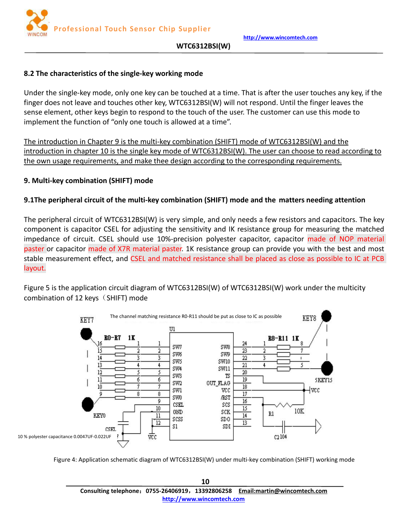**http://www.wincomtech.com**

#### <span id="page-9-0"></span>**8.2 The characteristics of the single-key working mode**

Under the single-key mode, only one key can be touched at a time. That is after the user touches any key, if the finger does not leave and touches other key, WTC6312BSI(W) will not respond. Until the finger leaves the sense element, other keys begin to respond to the touch of the user. The customer can use this mode to implement the function of "only one touch is allowed at a time".

The introduction in Chapter 9 is the multi-key combination (SHIFT) mode of WTC6312BSI(W) and the introduction in chapter 10 is the single key mode of WTC6312BSI(W). The user can choose to read according to the own usage requirements, and make thee design according to the corresponding requirements.

### **9. Multi-key combination (SHIFT) mode**

### **9.1The peripheral circuit of the multi-key combination (SHIFT) mode and the matters needing attention**

The peripheral circuit of WTC6312BSI(W) is very simple, and only needs a few resistors and capacitors. The key component is capacitor CSEL for adjusting the sensitivity and IK resistance group for measuring the matched impedance of circuit. CSEL should use 10%-precision polyester capacitor, capacitor made of NOP material paster or capacitor made of X7R material paster. 1K resistance group can provide you with the best and most stable measurement effect, and CSEL and matched resistance shall be placed as close as possible to IC at PCB layout.

Figure 5 is the application circuit diagram of WTC6312BSI(W) of WTC6312BSI(W) work under the multicity combination of 12 keys $(SHIFT)$  mode



Figure 4: Application schematic diagram of WTC6312BSI(W) under multi-key combination (SHIFT) working mode

**10 Consulting telephone**:**0755-26406919**,**13392806258 Email:martin@wincomtech.com http://www.wincomtech.com**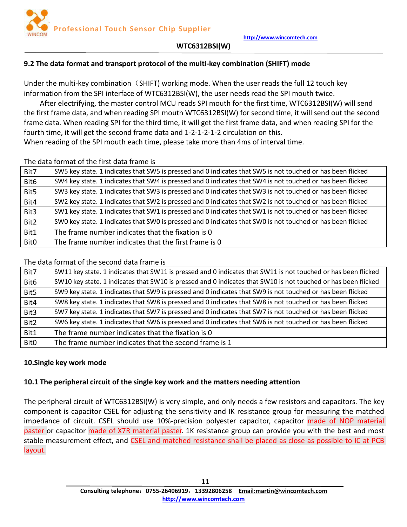# <span id="page-10-0"></span>**9.2 The data format and transport protocol of the multi-key combination (SHIFT) mode**

Under the multi-key combination  $(SHIFT)$  working mode. When the user reads the full 12 touch key information from the SPI interface of WTC6312BSI(W), the user needs read the SPI mouth twice.

After electrifying, the master control MCU reads SPI mouth for the first time, WTC6312BSI(W) will send the first frame data, and when reading SPI mouth WTC6312BSI(W) for second time, it will send out the second frame data. When reading SPI for the third time, it will get the first frame data, and when reading SPI for the fourth time, it will get the second frame data and 1-2-1-2-1-2 circulation on this.

When reading of the SPI mouth each time, please take more than 4ms of interval time.

|                  | The data format of the first data frame is                                                                 |
|------------------|------------------------------------------------------------------------------------------------------------|
| Bit7             | SW5 key state. 1 indicates that SW5 is pressed and 0 indicates that SW5 is not touched or has been flicked |
| Bit <sub>6</sub> | SW4 key state. 1 indicates that SW4 is pressed and 0 indicates that SW4 is not touched or has been flicked |
| Bit5             | SW3 key state. 1 indicates that SW3 is pressed and 0 indicates that SW3 is not touched or has been flicked |
| Bit4             | SW2 key state. 1 indicates that SW2 is pressed and 0 indicates that SW2 is not touched or has been flicked |
| Bit3             | SW1 key state. 1 indicates that SW1 is pressed and 0 indicates that SW1 is not touched or has been flicked |
| Bit2             | SWO key state. 1 indicates that SWO is pressed and 0 indicates that SWO is not touched or has been flicked |
| Bit1             | The frame number indicates that the fixation is 0                                                          |
| Bit0             | The frame number indicates that the first frame is 0                                                       |

The data format of the second data frame is

| Bit7             | SW11 key state. 1 indicates that SW11 is pressed and 0 indicates that SW11 is not touched or has been flicked |
|------------------|---------------------------------------------------------------------------------------------------------------|
| Bit <sub>6</sub> | SW10 key state. 1 indicates that SW10 is pressed and 0 indicates that SW10 is not touched or has been flicked |
| Bit5             | SW9 key state. 1 indicates that SW9 is pressed and 0 indicates that SW9 is not touched or has been flicked    |
| Bit4             | SW8 key state. 1 indicates that SW8 is pressed and 0 indicates that SW8 is not touched or has been flicked    |
| Bit3             | SW7 key state. 1 indicates that SW7 is pressed and 0 indicates that SW7 is not touched or has been flicked    |
| Bit2             | SW6 key state. 1 indicates that SW6 is pressed and 0 indicates that SW6 is not touched or has been flicked    |
| Bit1             | The frame number indicates that the fixation is 0                                                             |
| <b>BitO</b>      | The frame number indicates that the second frame is 1                                                         |
|                  |                                                                                                               |

# **10.Single key work mode**

# **10.1 The peripheral circuit of the single key work and the matters needing attention**

The peripheral circuit of WTC6312BSI(W) is very simple, and only needs a few resistors and capacitors. The key component is capacitor CSEL for adjusting the sensitivity and IK resistance group for measuring the matched impedance of circuit. CSEL should use 10%-precision polyester capacitor, capacitor made of NOP material paster or capacitor made of X7R material paster. 1K resistance group can provide you with the best and most stable measurement effect, and CSEL and matched resistance shall be placed as close as possible to IC at PCB layout.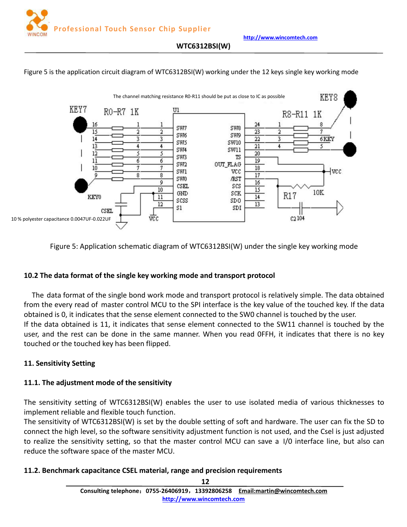<span id="page-11-0"></span>Figure 5 is the application circuit diagram of WTC6312BSI(W) working under the 12 keys single key working mode



Figure 5: Application schematic diagram of WTC6312BSI(W) under the single key working mode

#### **10.2 The data format of the single key working mode and transport protocol**

The data format of the single bond work mode and transport protocol is relatively simple. The data obtained from the every read of master control MCU to the SPI interface is the key value of the touched key. If the data obtained is 0, it indicates that the sense element connected to the SW0 channel is touched by the user. If the data obtained is 11, it indicates that sense element connected to the SW11 channel is touched by the user, and the rest can be done in the same manner. When you read OFFH, it indicates that there is no key touched or the touched key has been flipped.

#### **11. Sensitivity Setting**

#### **11.1. The adjustment mode of the sensitivity**

The sensitivity setting of WTC6312BSI(W) enables the user to use isolated media of various thicknesses to implement reliable and flexible touch function.

The sensitivity of WTC6312BSI(W) is set by the double setting of soft and hardware. The user can fix the SD to connect the high level, so the software sensitivity adjustment function is not used, and the Csel is just adjusted to realize the sensitivity setting, so that the master control MCU can save a I/0 interface line, but also can reduce the software space of the master MCU.

#### **11.2. Benchmark capacitance CSEL material, range and precision requirements**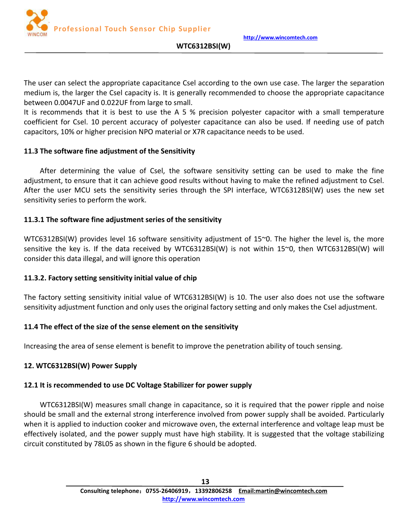**http://www.wincomtech.com**



#### **WTC6312BSI(W)**

<span id="page-12-0"></span>The user can select the appropriate capacitance Csel according to the own use case. The larger the separation medium is, the larger the Csel capacity is. It is generally recommended to choose the appropriate capacitance between 0.0047UF and 0.022UF from large to small.

It is recommends that it is best to use the A 5  $%$  precision polyester capacitor with a small temperature coefficient for Csel. 10 percent accuracy of polyester capacitance can also be used. If needing use of patch capacitors, 10% or higher precision NPO materialor X7R capacitance needs to be used.

### **11.3 The software fine adjustment of the Sensitivity**

After determining the value of Csel, the software sensitivity setting can be used to make the fine adjustment, to ensure that it can achieve good results without having to make the refined adjustment to Csel. After the user MCU sets the sensitivity series through the SPI interface, WTC6312BSI(W) uses the new set sensitivity series to perform the work.

### **11.3.1 The software fine adjustment series of the sensitivity**

WTC6312BSI(W) provides level 16 software sensitivity adjustment of 15~0. The higher the level is, the more sensitive the key is. If the data received by WTC6312BSI(W) is not within 15~0, then WTC6312BSI(W) will consider this data illegal, and will ignore this operation

# **11.3.2. Factory setting sensitivity initial value of chip**

The factory setting sensitivity initial value of WTC6312BSI(W) is 10. The user also does not use the software sensitivity adjustment function and only uses the original factory setting and only makes the Csel adjustment.

# **11.4 The effect of the size of the sense element on the sensitivity**

Increasing the area of sense element is benefit to improve the penetration ability of touch sensing.

# **12. WTC6312BSI(W) Power Supply**

#### **12.1 It is recommended to use DC Voltage Stabilizer for power supply**

WTC6312BSI(W) measures small change in capacitance, so it is required that the power ripple and noise should be small and the external strong interference involved from power supply shall be avoided. Particularly when it is applied to induction cooker and microwave oven, the external interference and voltage leap must be effectively isolated, and the power supply must have high stability. It is suggested that the voltage stabilizing circuit constituted by 78L05 as shown in the figure 6 should be adopted.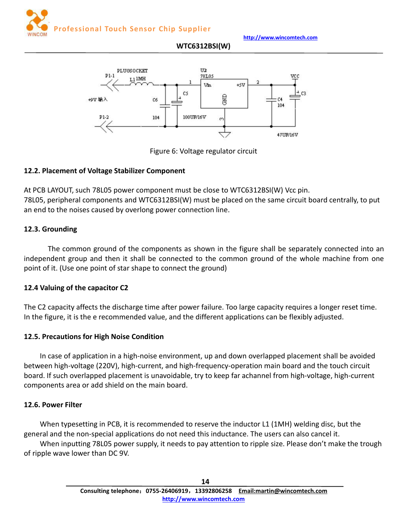<span id="page-13-0"></span>



**WTC6312BSI(W)**

Figure 6: Voltage regulator circuit

### **12.2. Placement of Voltage Stabilizer Component**

At PCB LAYOUT, such 78L05 power component must be close to WTC6312BSI(W) Vcc pin. 78L05, peripheral components and WTC6312BSI(W) must be placed on the same circuit board centrally, to put an end to the noises caused by overlong power connection line.

### **12.3. Grounding**

The common ground of the components as shown in the figure shall be separately connected into an independent group and then it shall be connected to the common ground of the whole machine from one point of it.(Use one point of star shape to connect the ground)

#### **12.4 Valuing of the capacitor C2**

The C2 capacity affects the discharge time after power failure. Too large capacity requires a longer reset time. In the figure, it is the e recommended value, and the different applications can be flexibly adjusted.

# **12.5. Precautions for High Noise Condition**

In case of application in a high-noise environment, up and down overlapped placement shall be avoided between high-voltage (220V), high-current, and high-frequency-operation main board and the touch circuit board. If such overlapped placement is unavoidable, try to keep far achannel from high-voltage, high-current components area or add shield on the main board.

#### **12.6. Power Filter**

When typesetting in PCB, it is recommended to reserve the inductor L1 (1MH) welding disc, but the general and the non-special applications do not need this inductance. The users can also cancel it.

When inputting 78L05 power supply, it needs to pay attention to ripple size. Please don't make the trough of ripple wave lower than DC 9V.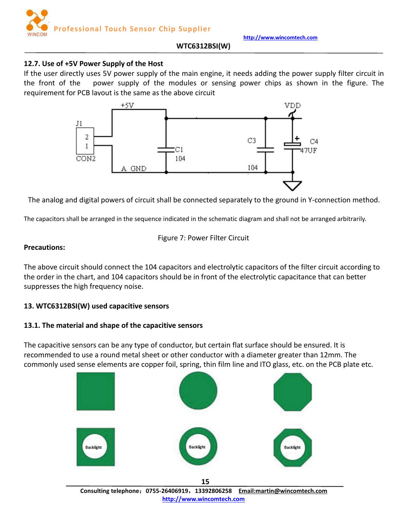

### **WTC6312BSI(W)**

### <span id="page-14-0"></span>**12.7. Use of +5V Power Supply of the Host**

If the user directly uses 5V power supply of the main engine, it needs adding the power supply filter circuit in the front of the power supply of the modules or sensing power chips as shown in the figure. The requirement for PCB layout is the same as the above circuit



The analog and digital powers of circuit shall be connected separately to the ground in Y-connection method.

The capacitors shall be arranged in the sequence indicated in the schematic diagram and shall not be arranged arbitrarily.

Figure 7: Power Filter Circuit

#### **Precautions:**

The above circuit should connect the 104 capacitors and electrolytic capacitors of the filter circuit according to the order in the chart, and 104 capacitors should be in front of the electrolytic capacitance that can better suppresses the high frequency noise.

# **13. WTC6312BSI(W) used capacitive sensors**

#### **13.1. The material and shape of the capacitive sensors**

The capacitive sensors can be any type of conductor, but certain flat surface should be ensured. It is recommended to use a round metal sheet or other conductor with a diameter greater than 12mm. The commonly used sense elements are copper foil, spring, thin film line and ITO glass, etc. on the PCB plate etc.



**Consulting telephone**:**0755-26406919**,**13392806258 Email:martin@wincomtech.com http://www.wincomtech.com**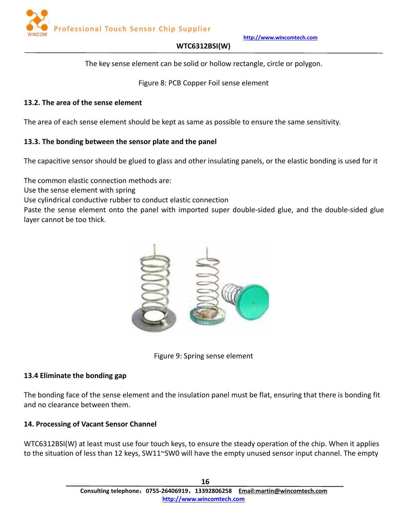

### **WTC6312BSI(W)**

The key sense element can be solid or hollow rectangle, circle or polygon.

Figure 8: PCB Copper Foil sense element

### <span id="page-15-0"></span>**13.2. The area of the sense element**

The area of each sense element should be kept as same as possible to ensure the same sensitivity.

# **13.3. The bonding between the sensor plate and the panel**

The capacitive sensor should be glued to glass and other insulating panels, or the elastic bonding is used for it

The common elastic connection methods are:

Use the sense element with spring

Use cylindrical conductive rubber to conduct elastic connection

Paste the sense element onto the panel with imported super double-sided glue, and the double-sided glue layer cannot be too thick.



Figure 9: Spring sense element

# **13.4 Eliminate the bonding gap**

The bonding face of the sense element and the insulation panel must be flat, ensuring that there is bonding fit and no clearance between them.

# **14. Processing of Vacant Sensor Channel**

WTC6312BSI(W) at least must use four touch keys, to ensure the steady operation of the chip. When it applies to the situation of less than 12 keys, SW11~SW0 will have the empty unused sensor input channel. The empty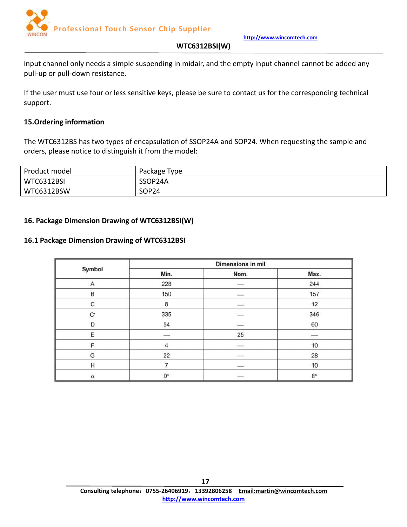

#### **WTC6312BSI(W)**

<span id="page-16-0"></span>input channel only needs a simple suspending in midair, and the empty input channel cannot be added any pull-up or pull-down resistance.

If the user must use four or less sensitive keys, please be sure to contact us for the corresponding technical support.

#### **15.Ordering information**

The WTC6312BS has two types of encapsulation of SSOP24A and SOP24. When requesting the sample and orders, please notice to distinguish it from the model:

| Product model | Package Type      |
|---------------|-------------------|
| WTC6312BSI    | SSOP24A           |
| WTC6312BSW    | SOP <sub>24</sub> |

#### **16. Package Dimension Drawing of WTC6312BSI(W)**

#### **16.1 Package Dimension Drawing of WTC6312BSI**

|               |               | Dimensions in mil  |           |
|---------------|---------------|--------------------|-----------|
| Symbol        | Min.          | Nom.               | Max.      |
| A             | 228           |                    | 244       |
| B             | 150           | 100000             | 157       |
| C             | 8             | $\frac{1}{2}$      | 12        |
| $\mathbf{C}'$ | 335           |                    | 346       |
| D             | 54            | $\frac{1}{2}$      | 60        |
| E             | $\frac{1}{2}$ | 25                 | $- - - -$ |
| F.            | 4             | <b>Homewide</b>    | 10        |
| G             | 22            | <b>Service Ave</b> | 28        |
| Η             | 7             | $\frac{1}{2}$      | 10        |
| $\alpha$      | 0°            | $\frac{1}{2}$      | $8^\circ$ |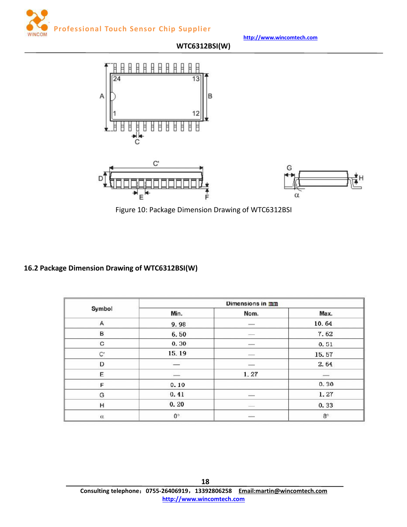<span id="page-17-0"></span>









# **16.2 Package Dimension Drawing of WTC6312BSI(W)**

| Symbol   | Min.        | Nom.                     | Max.                     |
|----------|-------------|--------------------------|--------------------------|
| Α        | 9.98        | $\frac{1}{2}$            | 10.64                    |
| B        | 6.50        |                          | 7.62                     |
| C        | 0.30        | $\overline{\phantom{a}}$ | 0.51                     |
| C'       | 15.19       | $-100 - 100$             | 15.57                    |
| D        |             | <b>Andrews</b>           | 2.64                     |
| E        | $-$         | 1.27                     | $\overline{\phantom{a}}$ |
| F        | 0.10        |                          | 0.30                     |
| G        | 0.41        | -                        | 1.27                     |
| Н        | 0.20        | s.                       | 0.33                     |
| $\alpha$ | $0^{\circ}$ | $\frac{1}{2}$            | $8^\circ$                |